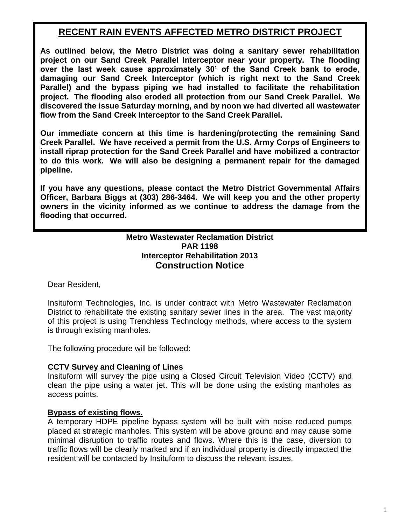# **RECENT RAIN EVENTS AFFECTED METRO DISTRICT PROJECT**

**As outlined below, the Metro District was doing a sanitary sewer rehabilitation project on our Sand Creek Parallel Interceptor near your property. The flooding over the last week cause approximately 30' of the Sand Creek bank to erode, damaging our Sand Creek Interceptor (which is right next to the Sand Creek Parallel) and the bypass piping we had installed to facilitate the rehabilitation project. The flooding also eroded all protection from our Sand Creek Parallel. We discovered the issue Saturday morning, and by noon we had diverted all wastewater flow from the Sand Creek Interceptor to the Sand Creek Parallel.**

**Our immediate concern at this time is hardening/protecting the remaining Sand Creek Parallel. We have received a permit from the U.S. Army Corps of Engineers to install riprap protection for the Sand Creek Parallel and have mobilized a contractor to do this work. We will also be designing a permanent repair for the damaged pipeline.**

**If you have any questions, please contact the Metro District Governmental Affairs Officer, Barbara Biggs at (303) 286-3464. We will keep you and the other property owners in the vicinity informed as we continue to address the damage from the flooding that occurred.**

## **Metro Wastewater Reclamation District PAR 1198 Interceptor Rehabilitation 2013 Construction Notice**

Dear Resident,

Insituform Technologies, Inc. is under contract with Metro Wastewater Reclamation District to rehabilitate the existing sanitary sewer lines in the area. The vast majority of this project is using Trenchless Technology methods, where access to the system is through existing manholes.

The following procedure will be followed:

#### **CCTV Survey and Cleaning of Lines**

Insituform will survey the pipe using a Closed Circuit Television Video (CCTV) and clean the pipe using a water jet. This will be done using the existing manholes as access points.

#### **Bypass of existing flows.**

A temporary HDPE pipeline bypass system will be built with noise reduced pumps placed at strategic manholes. This system will be above ground and may cause some minimal disruption to traffic routes and flows. Where this is the case, diversion to traffic flows will be clearly marked and if an individual property is directly impacted the resident will be contacted by Insituform to discuss the relevant issues.